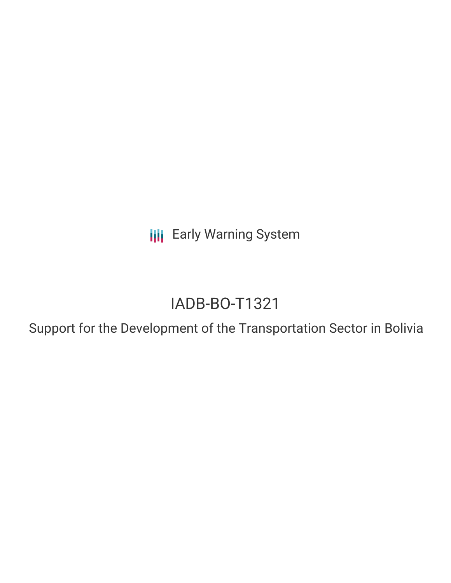**III** Early Warning System

# IADB-BO-T1321

Support for the Development of the Transportation Sector in Bolivia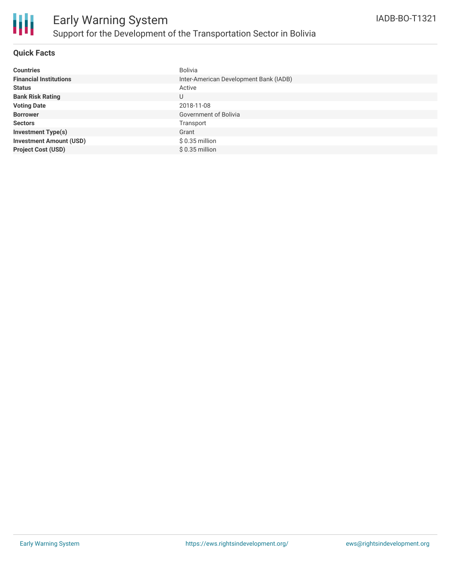

### **Quick Facts**

| <b>Countries</b>               | <b>Bolivia</b>                         |
|--------------------------------|----------------------------------------|
| <b>Financial Institutions</b>  | Inter-American Development Bank (IADB) |
| <b>Status</b>                  | Active                                 |
| <b>Bank Risk Rating</b>        | U                                      |
| <b>Voting Date</b>             | 2018-11-08                             |
| <b>Borrower</b>                | Government of Bolivia                  |
| <b>Sectors</b>                 | Transport                              |
| <b>Investment Type(s)</b>      | Grant                                  |
| <b>Investment Amount (USD)</b> | $$0.35$ million                        |
| <b>Project Cost (USD)</b>      | $$0.35$ million                        |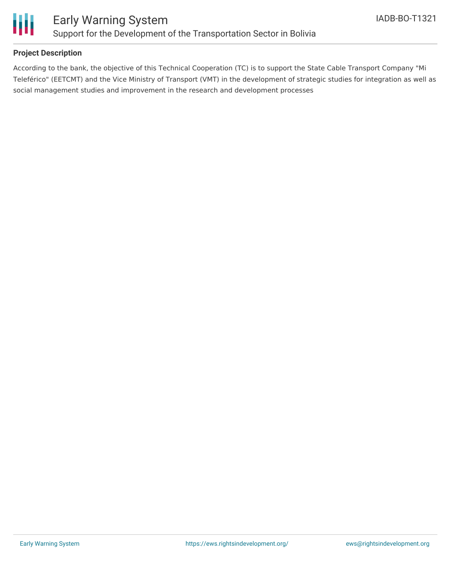

## **Project Description**

According to the bank, the objective of this Technical Cooperation (TC) is to support the State Cable Transport Company "Mi Teleférico" (EETCMT) and the Vice Ministry of Transport (VMT) in the development of strategic studies for integration as well as social management studies and improvement in the research and development processes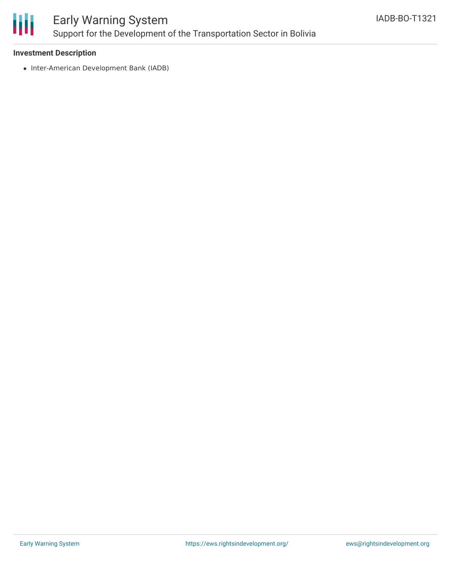

# Early Warning System Support for the Development of the Transportation Sector in Bolivia

#### **Investment Description**

• Inter-American Development Bank (IADB)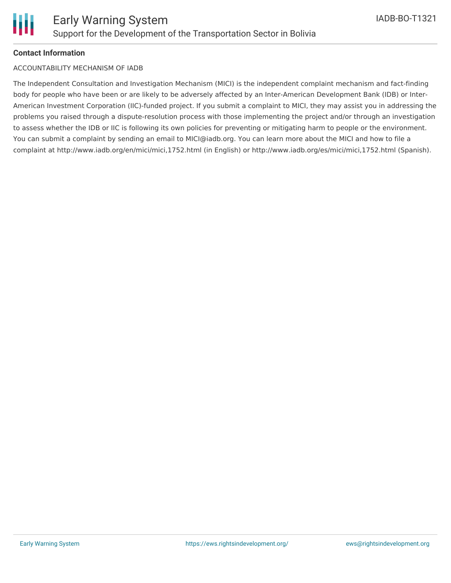

#### **Contact Information**

#### ACCOUNTABILITY MECHANISM OF IADB

The Independent Consultation and Investigation Mechanism (MICI) is the independent complaint mechanism and fact-finding body for people who have been or are likely to be adversely affected by an Inter-American Development Bank (IDB) or Inter-American Investment Corporation (IIC)-funded project. If you submit a complaint to MICI, they may assist you in addressing the problems you raised through a dispute-resolution process with those implementing the project and/or through an investigation to assess whether the IDB or IIC is following its own policies for preventing or mitigating harm to people or the environment. You can submit a complaint by sending an email to MICI@iadb.org. You can learn more about the MICI and how to file a complaint at http://www.iadb.org/en/mici/mici,1752.html (in English) or http://www.iadb.org/es/mici/mici,1752.html (Spanish).